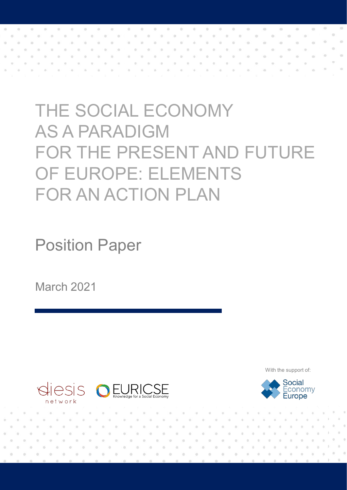# THE SOCIAL ECONOMY AS A PARADIGM FOR THE PRESENT AND FUTURE OF EUROPE: ELEMENTS FOR AN ACTION PLAN

Position Paper

March 2021



With the support of:

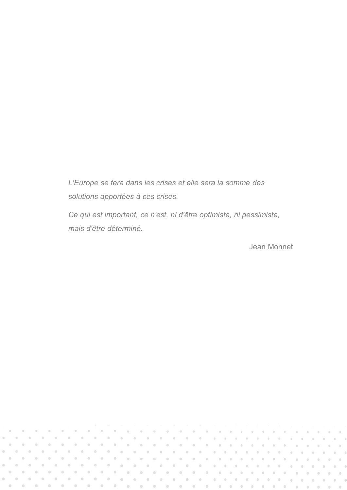*L'Europe se fera dans les crises et elle sera la somme des solutions apportées à ces crises.*

*Ce qui est important, ce n'est, ni d'être optimiste, ni pessimiste, mais d'être déterminé.*

Jean Monnet

o.  $\overline{\alpha}$ is.  $\alpha$  $\odot$  $\langle \rangle$  $\overline{\omega}$  $\alpha$  $\alpha$  $\alpha$  $\alpha$ 'n  $\alpha$  $-10$  $\alpha$  $\alpha$ in. Ya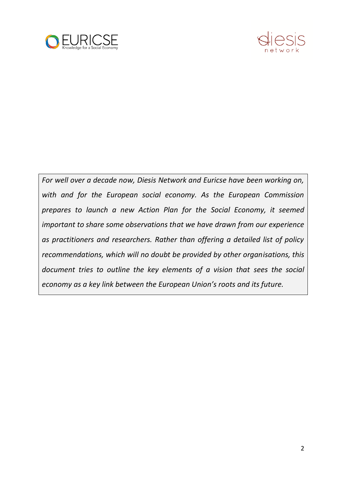



*For well over a decade now, Diesis Network and Euricse have been working on, with and for the European social economy. As the European Commission prepares to launch a new Action Plan for the Social Economy, it seemed important to share some observations that we have drawn from our experience as practitioners and researchers. Rather than offering a detailed list of policy recommendations, which will no doubt be provided by other organisations, this document tries to outline the key elements of a vision that sees the social economy as a key link between the European Union's roots and its future.*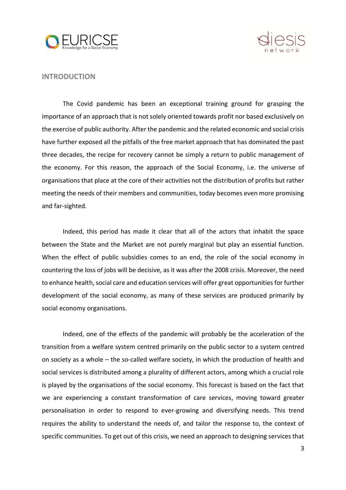



#### **INTRODUCTION**

The Covid pandemic has been an exceptional training ground for grasping the importance of an approach that is not solely oriented towards profit nor based exclusively on the exercise of public authority. After the pandemic and the related economic and social crisis have further exposed all the pitfalls of the free market approach that has dominated the past three decades, the recipe for recovery cannot be simply a return to public management of the economy. For this reason, the approach of the Social Economy, i.e. the universe of organisations that place at the core of their activities not the distribution of profits but rather meeting the needs of their members and communities, today becomes even more promising and far-sighted.

Indeed, this period has made it clear that all of the actors that inhabit the space between the State and the Market are not purely marginal but play an essential function. When the effect of public subsidies comes to an end, the role of the social economy in countering the loss of jobs will be decisive, as it was after the 2008 crisis. Moreover, the need to enhance health, social care and education services will offer great opportunities for further development of the social economy, as many of these services are produced primarily by social economy organisations.

Indeed, one of the effects of the pandemic will probably be the acceleration of the transition from a welfare system centred primarily on the public sector to a system centred on society as a whole – the so-called welfare society, in which the production of health and social services is distributed among a plurality of different actors, among which a crucial role is played by the organisations of the social economy. This forecast is based on the fact that we are experiencing a constant transformation of care services, moving toward greater personalisation in order to respond to ever-growing and diversifying needs. This trend requires the ability to understand the needs of, and tailor the response to, the context of specific communities. To get out of this crisis, we need an approach to designing services that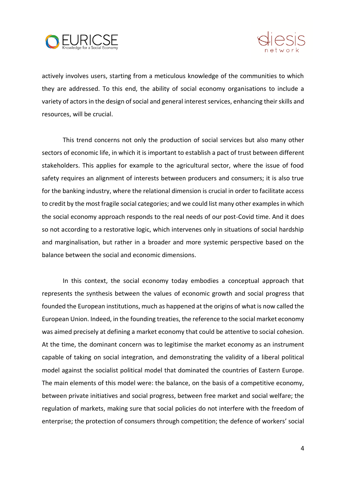



actively involves users, starting from a meticulous knowledge of the communities to which they are addressed. To this end, the ability of social economy organisations to include a variety of actors in the design of social and general interest services, enhancing their skills and resources, will be crucial.

This trend concerns not only the production of social services but also many other sectors of economic life, in which it is important to establish a pact of trust between different stakeholders. This applies for example to the agricultural sector, where the issue of food safety requires an alignment of interests between producers and consumers; it is also true for the banking industry, where the relational dimension is crucial in order to facilitate access to credit by the most fragile social categories; and we could list many other examples in which the social economy approach responds to the real needs of our post-Covid time. And it does so not according to a restorative logic, which intervenes only in situations of social hardship and marginalisation, but rather in a broader and more systemic perspective based on the balance between the social and economic dimensions.

In this context, the social economy today embodies a conceptual approach that represents the synthesis between the values of economic growth and social progress that founded the European institutions, much as happened at the origins of what is now called the European Union. Indeed, in the founding treaties, the reference to the social market economy was aimed precisely at defining a market economy that could be attentive to social cohesion. At the time, the dominant concern was to legitimise the market economy as an instrument capable of taking on social integration, and demonstrating the validity of a liberal political model against the socialist political model that dominated the countries of Eastern Europe. The main elements of this model were: the balance, on the basis of a competitive economy, between private initiatives and social progress, between free market and social welfare; the regulation of markets, making sure that social policies do not interfere with the freedom of enterprise; the protection of consumers through competition; the defence of workers' social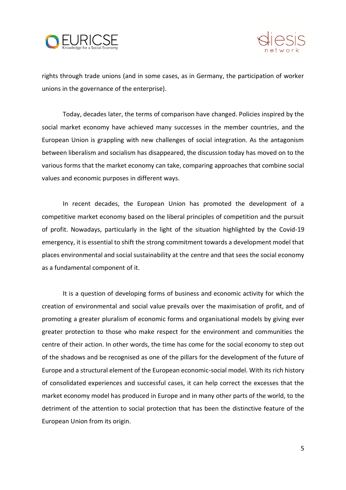



rights through trade unions (and in some cases, as in Germany, the participation of worker unions in the governance of the enterprise).

Today, decades later, the terms of comparison have changed. Policies inspired by the social market economy have achieved many successes in the member countries, and the European Union is grappling with new challenges of social integration. As the antagonism between liberalism and socialism has disappeared, the discussion today has moved on to the various forms that the market economy can take, comparing approaches that combine social values and economic purposes in different ways.

In recent decades, the European Union has promoted the development of a competitive market economy based on the liberal principles of competition and the pursuit of profit. Nowadays, particularly in the light of the situation highlighted by the Covid-19 emergency, it is essential to shift the strong commitment towards a development model that places environmental and social sustainability at the centre and that sees the social economy as a fundamental component of it.

It is a question of developing forms of business and economic activity for which the creation of environmental and social value prevails over the maximisation of profit, and of promoting a greater pluralism of economic forms and organisational models by giving ever greater protection to those who make respect for the environment and communities the centre of their action. In other words, the time has come for the social economy to step out of the shadows and be recognised as one of the pillars for the development of the future of Europe and a structural element of the European economic-social model. With its rich history of consolidated experiences and successful cases, it can help correct the excesses that the market economy model has produced in Europe and in many other parts of the world, to the detriment of the attention to social protection that has been the distinctive feature of the European Union from its origin.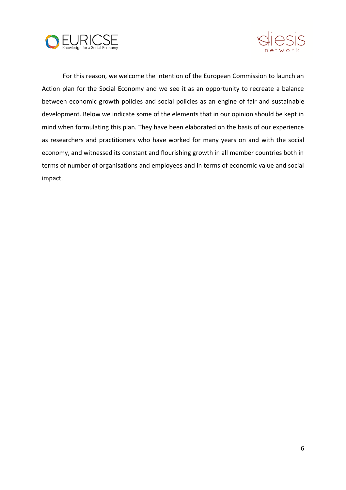



For this reason, we welcome the intention of the European Commission to launch an Action plan for the Social Economy and we see it as an opportunity to recreate a balance between economic growth policies and social policies as an engine of fair and sustainable development. Below we indicate some of the elements that in our opinion should be kept in mind when formulating this plan. They have been elaborated on the basis of our experience as researchers and practitioners who have worked for many years on and with the social economy, and witnessed its constant and flourishing growth in all member countries both in terms of number of organisations and employees and in terms of economic value and social impact.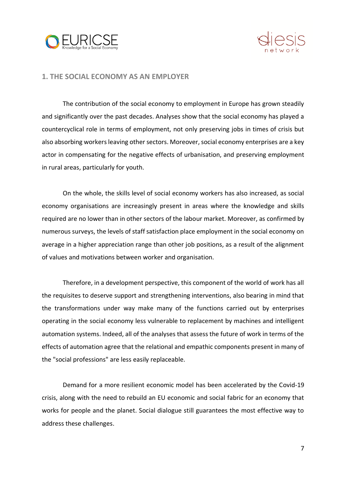



#### **1. THE SOCIAL ECONOMY AS AN EMPLOYER**

The contribution of the social economy to employment in Europe has grown steadily and significantly over the past decades. Analyses show that the social economy has played a countercyclical role in terms of employment, not only preserving jobs in times of crisis but also absorbing workers leaving other sectors. Moreover, social economy enterprises are a key actor in compensating for the negative effects of urbanisation, and preserving employment in rural areas, particularly for youth.

On the whole, the skills level of social economy workers has also increased, as social economy organisations are increasingly present in areas where the knowledge and skills required are no lower than in other sectors of the labour market. Moreover, as confirmed by numerous surveys, the levels of staff satisfaction place employment in the social economy on average in a higher appreciation range than other job positions, as a result of the alignment of values and motivations between worker and organisation.

Therefore, in a development perspective, this component of the world of work has all the requisites to deserve support and strengthening interventions, also bearing in mind that the transformations under way make many of the functions carried out by enterprises operating in the social economy less vulnerable to replacement by machines and intelligent automation systems. Indeed, all of the analyses that assess the future of work in terms of the effects of automation agree that the relational and empathic components present in many of the "social professions" are less easily replaceable.

Demand for a more resilient economic model has been accelerated by the Covid-19 crisis, along with the need to rebuild an EU economic and social fabric for an economy that works for people and the planet. Social dialogue still guarantees the most effective way to address these challenges.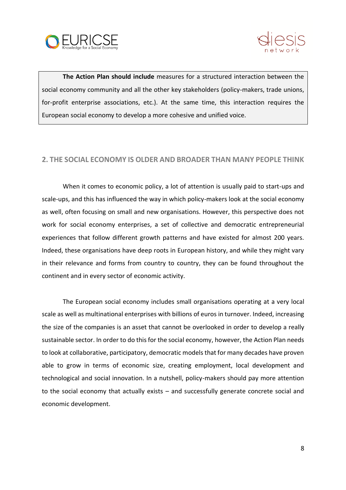



**The Action Plan should include** measures for a structured interaction between the social economy community and all the other key stakeholders (policy-makers, trade unions, for-profit enterprise associations, etc.). At the same time, this interaction requires the European social economy to develop a more cohesive and unified voice.

### **2. THE SOCIAL ECONOMY IS OLDER AND BROADER THAN MANY PEOPLE THINK**

When it comes to economic policy, a lot of attention is usually paid to start-ups and scale-ups, and this has influenced the way in which policy-makers look at the social economy as well, often focusing on small and new organisations. However, this perspective does not work for social economy enterprises, a set of collective and democratic entrepreneurial experiences that follow different growth patterns and have existed for almost 200 years. Indeed, these organisations have deep roots in European history, and while they might vary in their relevance and forms from country to country, they can be found throughout the continent and in every sector of economic activity.

The European social economy includes small organisations operating at a very local scale as well as multinational enterprises with billions of euros in turnover. Indeed, increasing the size of the companies is an asset that cannot be overlooked in order to develop a really sustainable sector. In order to do this for the social economy, however, the Action Plan needs to look at collaborative, participatory, democratic models that for many decades have proven able to grow in terms of economic size, creating employment, local development and technological and social innovation. In a nutshell, policy-makers should pay more attention to the social economy that actually exists – and successfully generate concrete social and economic development.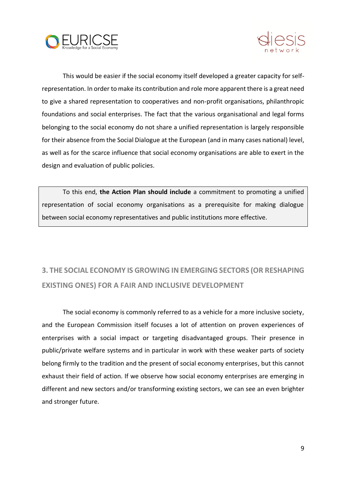



This would be easier if the social economy itself developed a greater capacity for selfrepresentation. In order to make its contribution and role more apparent there is a great need to give a shared representation to cooperatives and non-profit organisations, philanthropic foundations and social enterprises. The fact that the various organisational and legal forms belonging to the social economy do not share a unified representation is largely responsible for their absence from the Social Dialogue at the European (and in many cases national) level, as well as for the scarce influence that social economy organisations are able to exert in the design and evaluation of public policies.

To this end, **the Action Plan should include** a commitment to promoting a unified representation of social economy organisations as a prerequisite for making dialogue between social economy representatives and public institutions more effective.

# **3. THE SOCIAL ECONOMY IS GROWING IN EMERGING SECTORS (OR RESHAPING EXISTING ONES) FOR A FAIR AND INCLUSIVE DEVELOPMENT**

The social economy is commonly referred to as a vehicle for a more inclusive society, and the European Commission itself focuses a lot of attention on proven experiences of enterprises with a social impact or targeting disadvantaged groups. Their presence in public/private welfare systems and in particular in work with these weaker parts of society belong firmly to the tradition and the present of social economy enterprises, but this cannot exhaust their field of action. If we observe how social economy enterprises are emerging in different and new sectors and/or transforming existing sectors, we can see an even brighter and stronger future.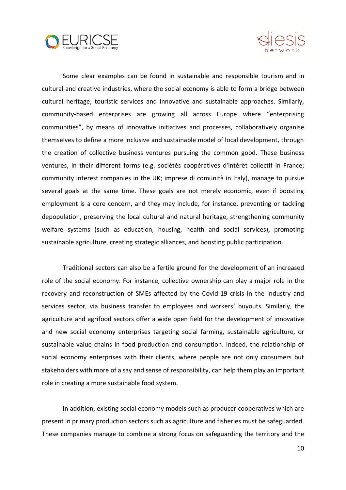



Some clear examples can be found in sustainable and responsible tourism and in cultural and creative industries, where the social economy is able to form a bridge between cultural heritage, touristic services and innovative and sustainable approaches. Similarly, community-based enterprises are growing all across Europe where "enterprising communities", by means of innovative initiatives and processes, collaboratively organise themselves to define a more inclusive and sustainable model of local development, through the creation of collective business ventures pursuing the common good. These business ventures, in their different forms (e.g. sociétés coopératives d'intérêt collectif in France; community interest companies in the UK; imprese di comunità in Italy), manage to pursue several goals at the same time. These goals are not merely economic, even if boosting employment is a core concern, and they may include, for instance, preventing or tackling depopulation, preserving the local cultural and natural heritage, strengthening community welfare systems (such as education, housing, health and social services), promoting sustainable agriculture, creating strategic alliances, and boosting public participation.

Traditional sectors can also be a fertile ground for the development of an increased role of the social economy. For instance, collective ownership can play a major role in the recovery and reconstruction of SMEs affected by the Covid-19 crisis in the industry and services sector, via business transfer to employees and workers' buyouts. Similarly, the agriculture and agrifood sectors offer a wide open field for the development of innovative and new social economy enterprises targeting social farming, sustainable agriculture, or sustainable value chains in food production and consumption. Indeed, the relationship of social economy enterprises with their clients, where people are not only consumers but stakeholders with more of a say and sense of responsibility, can help them play an important role in creating a more sustainable food system.

In addition, existing social economy models such as producer cooperatives which are present in primary production sectors such as agriculture and fisheries must be safeguarded. These companies manage to combine a strong focus on safeguarding the territory and the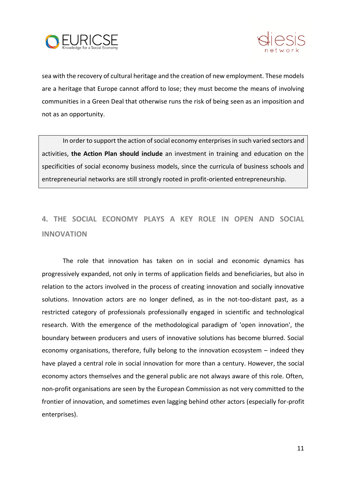



sea with the recovery of cultural heritage and the creation of new employment. These models are a heritage that Europe cannot afford to lose; they must become the means of involving communities in a Green Deal that otherwise runs the risk of being seen as an imposition and not as an opportunity.

In order to support the action of social economy enterprises in such varied sectors and activities, **the Action Plan should include** an investment in training and education on the specificities of social economy business models, since the curricula of business schools and entrepreneurial networks are still strongly rooted in profit-oriented entrepreneurship.

# **4. THE SOCIAL ECONOMY PLAYS A KEY ROLE IN OPEN AND SOCIAL INNOVATION**

The role that innovation has taken on in social and economic dynamics has progressively expanded, not only in terms of application fields and beneficiaries, but also in relation to the actors involved in the process of creating innovation and socially innovative solutions. Innovation actors are no longer defined, as in the not-too-distant past, as a restricted category of professionals professionally engaged in scientific and technological research. With the emergence of the methodological paradigm of 'open innovation', the boundary between producers and users of innovative solutions has become blurred. Social economy organisations, therefore, fully belong to the innovation ecosystem – indeed they have played a central role in social innovation for more than a century. However, the social economy actors themselves and the general public are not always aware of this role. Often, non-profit organisations are seen by the European Commission as not very committed to the frontier of innovation, and sometimes even lagging behind other actors (especially for-profit enterprises).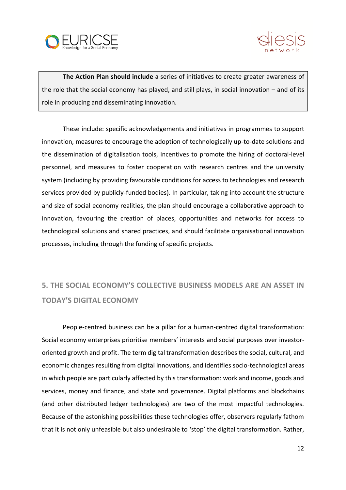



**The Action Plan should include** a series of initiatives to create greater awareness of the role that the social economy has played, and still plays, in social innovation – and of its role in producing and disseminating innovation.

These include: specific acknowledgements and initiatives in programmes to support innovation, measures to encourage the adoption of technologically up-to-date solutions and the dissemination of digitalisation tools, incentives to promote the hiring of doctoral-level personnel, and measures to foster cooperation with research centres and the university system (including by providing favourable conditions for access to technologies and research services provided by publicly-funded bodies). In particular, taking into account the structure and size of social economy realities, the plan should encourage a collaborative approach to innovation, favouring the creation of places, opportunities and networks for access to technological solutions and shared practices, and should facilitate organisational innovation processes, including through the funding of specific projects.

# **5. THE SOCIAL ECONOMY'S COLLECTIVE BUSINESS MODELS ARE AN ASSET IN TODAY'S DIGITAL ECONOMY**

People-centred business can be a pillar for a human-centred digital transformation: Social economy enterprises prioritise members' interests and social purposes over investororiented growth and profit. The term digital transformation describes the social, cultural, and economic changes resulting from digital innovations, and identifies socio-technological areas in which people are particularly affected by this transformation: work and income, goods and services, money and finance, and state and governance. Digital platforms and blockchains (and other distributed ledger technologies) are two of the most impactful technologies. Because of the astonishing possibilities these technologies offer, observers regularly fathom that it is not only unfeasible but also undesirable to 'stop' the digital transformation. Rather,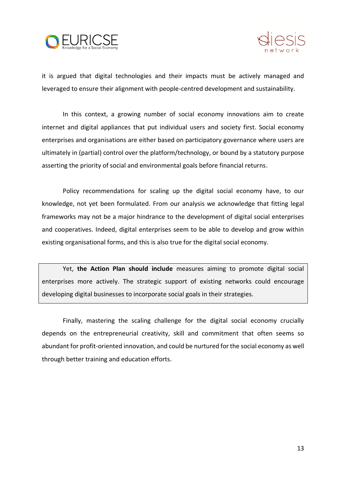



it is argued that digital technologies and their impacts must be actively managed and leveraged to ensure their alignment with people-centred development and sustainability.

In this context, a growing number of social economy innovations aim to create internet and digital appliances that put individual users and society first. Social economy enterprises and organisations are either based on participatory governance where users are ultimately in (partial) control over the platform/technology, or bound by a statutory purpose asserting the priority of social and environmental goals before financial returns.

Policy recommendations for scaling up the digital social economy have, to our knowledge, not yet been formulated. From our analysis we acknowledge that fitting legal frameworks may not be a major hindrance to the development of digital social enterprises and cooperatives. Indeed, digital enterprises seem to be able to develop and grow within existing organisational forms, and this is also true for the digital social economy.

Yet, **the Action Plan should include** measures aiming to promote digital social enterprises more actively. The strategic support of existing networks could encourage developing digital businesses to incorporate social goals in their strategies.

Finally, mastering the scaling challenge for the digital social economy crucially depends on the entrepreneurial creativity, skill and commitment that often seems so abundant for profit-oriented innovation, and could be nurtured for the social economy as well through better training and education efforts.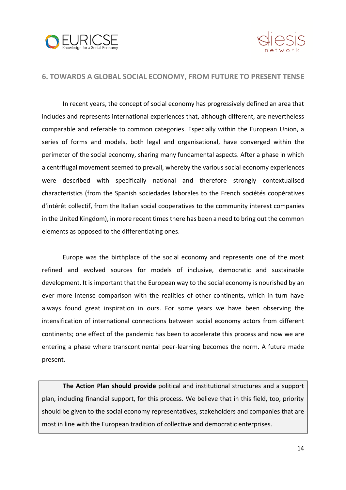



#### **6. TOWARDS A GLOBAL SOCIAL ECONOMY, FROM FUTURE TO PRESENT TENSE**

In recent years, the concept of social economy has progressively defined an area that includes and represents international experiences that, although different, are nevertheless comparable and referable to common categories. Especially within the European Union, a series of forms and models, both legal and organisational, have converged within the perimeter of the social economy, sharing many fundamental aspects. After a phase in which a centrifugal movement seemed to prevail, whereby the various social economy experiences were described with specifically national and therefore strongly contextualised characteristics (from the Spanish sociedades laborales to the French sociétés coopératives d'intérêt collectif, from the Italian social cooperatives to the community interest companies in the United Kingdom), in more recent times there has been a need to bring out the common elements as opposed to the differentiating ones.

Europe was the birthplace of the social economy and represents one of the most refined and evolved sources for models of inclusive, democratic and sustainable development. It is important that the European way to the social economy is nourished by an ever more intense comparison with the realities of other continents, which in turn have always found great inspiration in ours. For some years we have been observing the intensification of international connections between social economy actors from different continents; one effect of the pandemic has been to accelerate this process and now we are entering a phase where transcontinental peer-learning becomes the norm. A future made present.

**The Action Plan should provide** political and institutional structures and a support plan, including financial support, for this process. We believe that in this field, too, priority should be given to the social economy representatives, stakeholders and companies that are most in line with the European tradition of collective and democratic enterprises.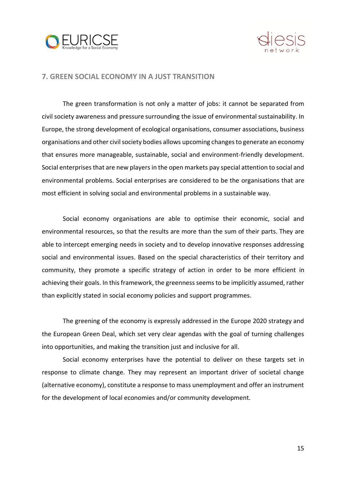



#### **7. GREEN SOCIAL ECONOMY IN A JUST TRANSITION**

The green transformation is not only a matter of jobs: it cannot be separated from civil society awareness and pressure surrounding the issue of environmental sustainability. In Europe, the strong development of ecological organisations, consumer associations, business organisations and other civil society bodies allows upcoming changes to generate an economy that ensures more manageable, sustainable, social and environment-friendly development. Social enterprises that are new players in the open markets pay special attention to social and environmental problems. Social enterprises are considered to be the organisations that are most efficient in solving social and environmental problems in a sustainable way.

Social economy organisations are able to optimise their economic, social and environmental resources, so that the results are more than the sum of their parts. They are able to intercept emerging needs in society and to develop innovative responses addressing social and environmental issues. Based on the special characteristics of their territory and community, they promote a specific strategy of action in order to be more efficient in achieving their goals. In this framework, the greenness seems to be implicitly assumed, rather than explicitly stated in social economy policies and support programmes.

The greening of the economy is expressly addressed in the Europe 2020 strategy and the European Green Deal, which set very clear agendas with the goal of turning challenges into opportunities, and making the transition just and inclusive for all.

Social economy enterprises have the potential to deliver on these targets set in response to climate change. They may represent an important driver of societal change (alternative economy), constitute a response to mass unemployment and offer an instrument for the development of local economies and/or community development.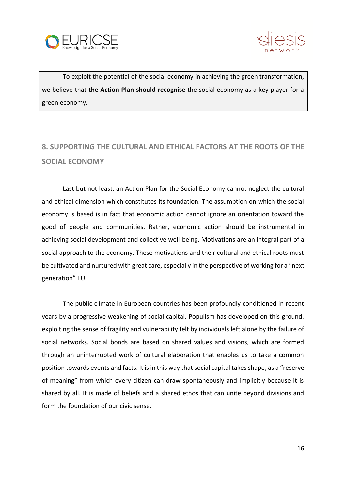



To exploit the potential of the social economy in achieving the green transformation, we believe that **the Action Plan should recognise** the social economy as a key player for a green economy.

# **8. SUPPORTING THE CULTURAL AND ETHICAL FACTORS AT THE ROOTS OF THE SOCIAL ECONOMY**

Last but not least, an Action Plan for the Social Economy cannot neglect the cultural and ethical dimension which constitutes its foundation. The assumption on which the social economy is based is in fact that economic action cannot ignore an orientation toward the good of people and communities. Rather, economic action should be instrumental in achieving social development and collective well-being. Motivations are an integral part of a social approach to the economy. These motivations and their cultural and ethical roots must be cultivated and nurtured with great care, especially in the perspective of working for a "next generation" EU.

The public climate in European countries has been profoundly conditioned in recent years by a progressive weakening of social capital. Populism has developed on this ground, exploiting the sense of fragility and vulnerability felt by individuals left alone by the failure of social networks. Social bonds are based on shared values and visions, which are formed through an uninterrupted work of cultural elaboration that enables us to take a common position towards events and facts. It is in this way that social capital takes shape, as a "reserve of meaning" from which every citizen can draw spontaneously and implicitly because it is shared by all. It is made of beliefs and a shared ethos that can unite beyond divisions and form the foundation of our civic sense.